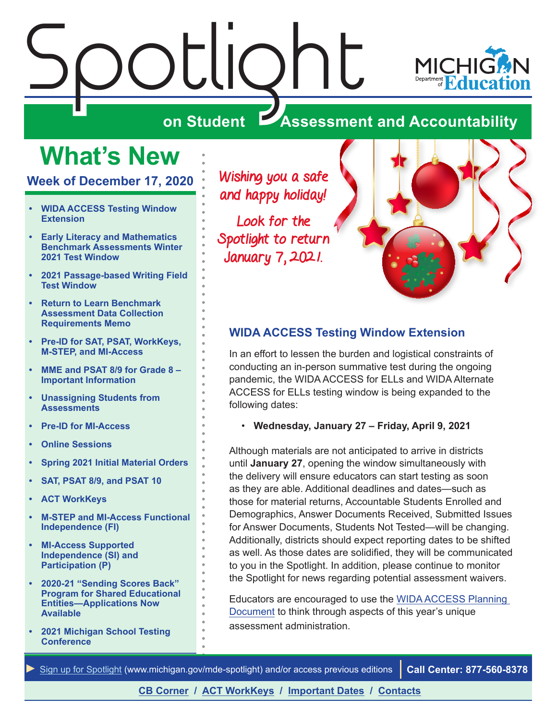# <span id="page-0-0"></span> $\frac{\partial L}{\partial n}$  Student  $\sum_{\mathbf{A}}$



# **ZASSESSMENT AND ACCOUNTABILITY**

# **What's New**

**Week of December 17, 2020**

- **• WIDA ACCESS Testing Window Extension**
- **• [Early Literacy and Mathematics](#page-1-0)  [Benchmark Assessments Winter](#page-1-0)  [2021 Test Window](#page-1-0)**
- **• [2021 Passage-based Writing Field](#page-1-0)  [Test Window](#page-1-0)**
- **• [Return to Learn Benchmark](#page-1-0)  [Assessment Data Collection](#page-1-0)  [Requirements Memo](#page-1-0)**
- **• [Pre-ID for SAT, PSAT, WorkKeys,](#page-1-0)  [M-STEP, and MI-Access](#page-1-0)**
- **• [MME and PSAT 8/9 for Grade 8](#page-3-0)  [Important Information](#page-3-0)**
- **• [Unassigning Students from](#page-3-0)  [Assessments](#page-3-0)**
- **• [Pre-ID for MI-Access](#page-3-0)**
- **• [Online Sessions](#page-4-0)**
- **• [Spring 2021 Initial Material Orders](#page-4-0)**
- **• [SAT, PSAT 8/9, and PSAT 10](#page-4-0)**
- **• [ACT WorkKeys](#page-4-0)**
- **• [M-STEP and MI-Access Functional](#page-5-0)  [Independence \(FI\)](#page-5-0)**
- **• [MI-Access Supported](#page-5-0)  [Independence \(SI\) and](#page-5-0)  [Participation \(P\)](#page-5-0)**
- **• [2020-21 "Sending Scores Back"](#page-5-0)  [Program for Shared Educational](#page-5-0)  [Entities—Applications Now](#page-5-0)  [Available](#page-5-0)**
- **• [2021 Michigan School Testing](#page-6-0)  [Conference](#page-6-0)**

Wishing you a safe and happy holiday!

Look for the Spotlight to return January 7, 2021.



#### **WIDA ACCESS Testing Window Extension**

In an effort to lessen the burden and logistical constraints of conducting an in-person summative test during the ongoing pandemic, the WIDA ACCESS for ELLs and WIDA Alternate ACCESS for ELLs testing window is being expanded to the following dates:

• **Wednesday, January 27 – Friday, April 9, 2021**

Although materials are not anticipated to arrive in districts until **January 27**, opening the window simultaneously with the delivery will ensure educators can start testing as soon as they are able. Additional deadlines and dates—such as those for material returns, Accountable Students Enrolled and Demographics, Answer Documents Received, Submitted Issues for Answer Documents, Students Not Tested—will be changing. Additionally, districts should expect reporting dates to be shifted as well. As those dates are solidified, they will be communicated to you in the Spotlight. In addition, please continue to monitor the Spotlight for news regarding potential assessment waivers.

Educators are encouraged to use the [WIDA ACCESS Planning](https://www.michigan.gov/documents/mde/2021_WIDA_Planning_Document_710115_7.docx)  [Document](https://www.michigan.gov/documents/mde/2021_WIDA_Planning_Document_710115_7.docx) to think through aspects of this year's unique assessment administration.

*►* [Sign up for Spotlight](https://public.govdelivery.com/accounts/MIMDE/subscriber/new) ([www.michigan.gov/mde](www.michigan.gov/mde-spotlight)-spotlight) and/or access previous editions **Call Center: 877-560-8378**

#### **[CB Corner](#page-7-0) / [ACT WorkKeys](#page-10-0) / [Important Dates](#page-11-0) / [Contacts](#page-12-0)**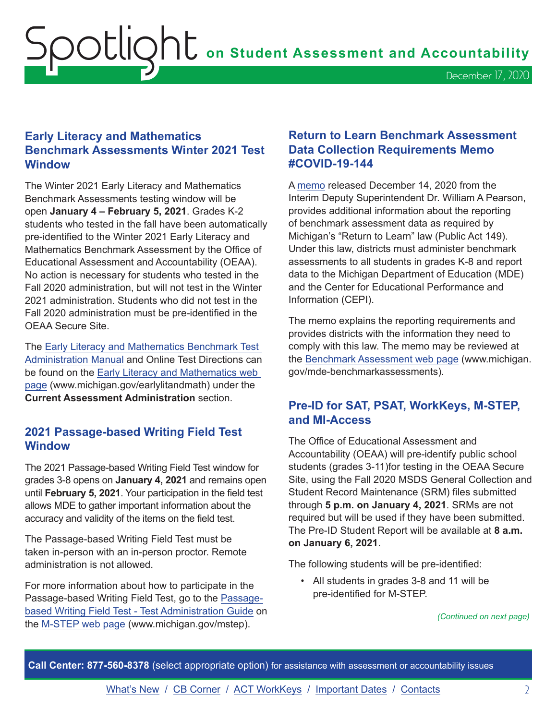#### <span id="page-1-0"></span>**Early Literacy and Mathematics Benchmark Assessments Winter 2021 Test Window**

The Winter 2021 Early Literacy and Mathematics Benchmark Assessments testing window will be open **January 4 – February 5, 2021**. Grades K-2 students who tested in the fall have been automatically pre-identified to the Winter 2021 Early Literacy and Mathematics Benchmark Assessment by the Office of Educational Assessment and Accountability (OEAA). No action is necessary for students who tested in the Fall 2020 administration, but will not test in the Winter 2021 administration. Students who did not test in the Fall 2020 administration must be pre-identified in the OEAA Secure Site.

The [Early Literacy and Mathematics Benchmark Test](https://www.michigan.gov/documents/mde/Early_Literacy_and_Mathematics_TAM_663326_7.pdf)  [Administration Manual](https://www.michigan.gov/documents/mde/Early_Literacy_and_Mathematics_TAM_663326_7.pdf) and Online Test Directions can be found on the [Early Literacy and Mathematics web](www.michigan.gov/earlylitandmath)  [page](www.michigan.gov/earlylitandmath) (www.michigan.gov/earlylitandmath) under the **Current Assessment Administration** section.

#### **2021 Passage-based Writing Field Test Window**

The 2021 Passage-based Writing Field Test window for grades 3-8 opens on **January 4, 2021** and remains open until **February 5, 2021**. Your participation in the field test allows MDE to gather important information about the accuracy and validity of the items on the field test.

The Passage-based Writing Field Test must be taken in-person with an in-person proctor. Remote administration is not allowed.

For more information about how to participate in the Passage-based Writing Field Test, go to the [Passage](https://www.michigan.gov/documents/mde/Passage-Based_Writing_Field_Test_TAM_673178_7.pdf)[based Writing Field Test - Test Administration Guide](https://www.michigan.gov/documents/mde/Passage-Based_Writing_Field_Test_TAM_673178_7.pdf) on the [M-STEP web page](www.michigan.gov/mstep) (www.michigan.gov/mstep).

#### **Return to Learn Benchmark Assessment Data Collection Requirements Memo #COVID-19-144**

A [memo](https://www.michigan.gov/documents/mde/RTL_Benchmark_Assessment_710487_7.pdf) released December 14, 2020 from the Interim Deputy Superintendent Dr. William A Pearson, provides additional information about the reporting of benchmark assessment data as required by Michigan's "Return to Learn" law (Public Act 149). Under this law, districts must administer benchmark assessments to all students in grades K-8 and report data to the Michigan Department of Education (MDE) and the Center for Educational Performance and Information (CEPI).

The memo explains the reporting requirements and provides districts with the information they need to comply with this law. The memo may be reviewed at the [Benchmark Assessment web page](http://www.michigan.gov/mde-benchmarkassessments) (www.michigan. gov/mde-benchmarkassessments).

#### **Pre-ID for SAT, PSAT, WorkKeys, M-STEP, and MI-Access**

The Office of Educational Assessment and Accountability (OEAA) will pre-identify public school students (grades 3-11)for testing in the OEAA Secure Site, using the Fall 2020 MSDS General Collection and Student Record Maintenance (SRM) files submitted through **5 p.m. on January 4, 2021**. SRMs are not required but will be used if they have been submitted. The Pre-ID Student Report will be available at **8 a.m. on January 6, 2021**.

The following students will be pre-identified:

• All students in grades 3-8 and 11 will be pre-identified for M-STEP.

*(Continued on next page)*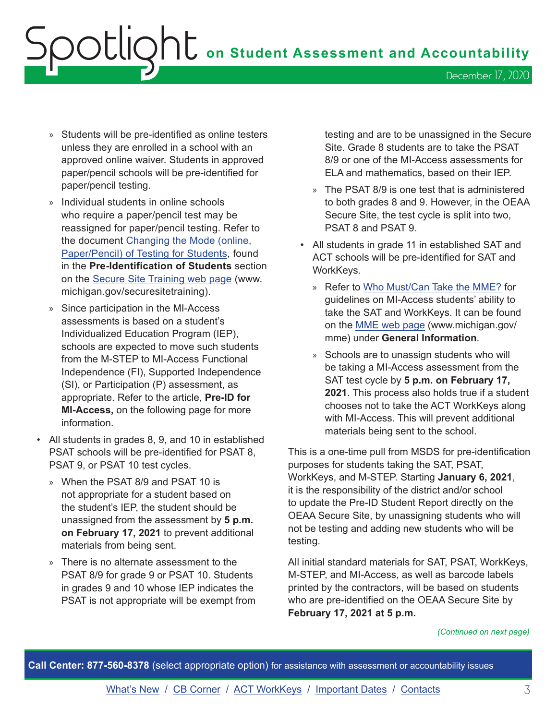# $\overline{S}$  **ODE IQNE** on Student Assessment and Accountability December 17, 2020

- » Students will be pre-identified as online testers unless they are enrolled in a school with an approved online waiver. Students in approved paper/pencil schools will be pre-identified for paper/pencil testing.
- » Individual students in online schools who require a paper/pencil test may be reassigned for paper/pencil testing. Refer to the document [Changing the Mode \(online,](https://www.michigan.gov/documents/mde/Changing_Mode_of_Assessment_instructions_601212_7.pdf)  [Paper/Pencil\) of Testing for Students,](https://www.michigan.gov/documents/mde/Changing_Mode_of_Assessment_instructions_601212_7.pdf) found in the **Pre-Identification of Students** section on the [Secure Site Training web page](http://www.michigan.gov/securesitetraining) (www. michigan.gov/securesitetraining).
- » Since participation in the MI-Access assessments is based on a student's Individualized Education Program (IEP), schools are expected to move such students from the M-STEP to MI-Access Functional Independence (FI), Supported Independence (SI), or Participation (P) assessment, as appropriate. Refer to the article, **Pre-ID for MI-Access,** on the following page for more information.
- All students in grades 8, 9, and 10 in established PSAT schools will be pre-identified for PSAT 8, PSAT 9, or PSAT 10 test cycles.
	- » When the PSAT 8/9 and PSAT 10 is not appropriate for a student based on the student's IEP, the student should be unassigned from the assessment by **5 p.m. on February 17, 2021** to prevent additional materials from being sent.
	- » There is no alternate assessment to the PSAT 8/9 for grade 9 or PSAT 10. Students in grades 9 and 10 whose IEP indicates the PSAT is not appropriate will be exempt from

testing and are to be unassigned in the Secure Site. Grade 8 students are to take the PSAT 8/9 or one of the MI-Access assessments for ELA and mathematics, based on their IEP.

- » The PSAT 8/9 is one test that is administered to both grades 8 and 9. However, in the OEAA Secure Site, the test cycle is split into two, PSAT 8 and PSAT 9.
- All students in grade 11 in established SAT and ACT schools will be pre-identified for SAT and WorkKeys.
	- » Refer to [Who Must/Can Take the MME?](https://www.michigan.gov/documents/mde/MME_Eligibility_544301_7.pdf) for guidelines on MI-Access students' ability to take the SAT and WorkKeys. It can be found on the [MME web page](www.michigan.gov/mme) (www.michigan.gov/ mme) under **General Information**.
	- » Schools are to unassign students who will be taking a MI-Access assessment from the SAT test cycle by **5 p.m. on February 17, 2021**. This process also holds true if a student chooses not to take the ACT WorkKeys along with MI-Access. This will prevent additional materials being sent to the school.

This is a one-time pull from MSDS for pre-identification purposes for students taking the SAT, PSAT, WorkKeys, and M-STEP. Starting **January 6, 2021**, it is the responsibility of the district and/or school to update the Pre-ID Student Report directly on the OEAA Secure Site, by unassigning students who will not be testing and adding new students who will be testing.

All initial standard materials for SAT, PSAT, WorkKeys, M-STEP, and MI-Access, as well as barcode labels printed by the contractors, will be based on students who are pre-identified on the OEAA Secure Site by **February 17, 2021 at 5 p.m.**

#### *(Continued on next page)*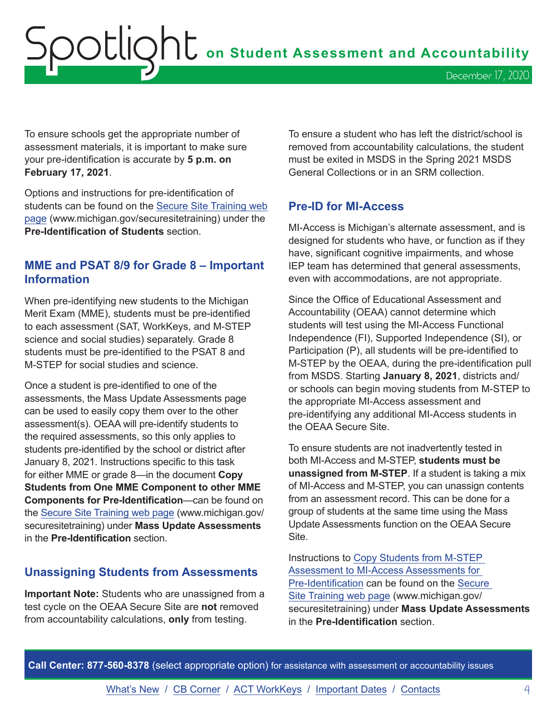<span id="page-3-0"></span>Spotlight **on Student Assessment and Accountability** December 17, 2020

To ensure schools get the appropriate number of assessment materials, it is important to make sure your pre-identification is accurate by **5 p.m. on February 17, 2021**.

Options and instructions for pre-identification of students can be found on the [Secure Site Training web](http://www.michigan.gov/securesitetraining)  [page](http://www.michigan.gov/securesitetraining) (www.michigan.gov/securesitetraining) under the **Pre-Identification of Students** section.

#### **MME and PSAT 8/9 for Grade 8 – Important Information**

When pre-identifying new students to the Michigan Merit Exam (MME), students must be pre-identified to each assessment (SAT, WorkKeys, and M-STEP science and social studies) separately. Grade 8 students must be pre-identified to the PSAT 8 and M-STEP for social studies and science.

Once a student is pre-identified to one of the assessments, the Mass Update Assessments page can be used to easily copy them over to the other assessment(s). OEAA will pre-identify students to the required assessments, so this only applies to students pre-identified by the school or district after January 8, 2021. Instructions specific to this task for either MME or grade 8—in the document **Copy Students from One MME Component to other MME Components for Pre-Identification**—can be found on the [Secure Site Training web page](http://www.michigan.gov/securesitetraining) (www.michigan.gov/ securesitetraining) under **Mass Update Assessments** in the **Pre-Identification** section.

#### **Unassigning Students from Assessments**

**Important Note:** Students who are unassigned from a test cycle on the OEAA Secure Site are **not** removed from accountability calculations, **only** from testing.

To ensure a student who has left the district/school is removed from accountability calculations, the student must be exited in MSDS in the Spring 2021 MSDS General Collections or in an SRM collection.

#### **Pre-ID for MI-Access**

MI-Access is Michigan's alternate assessment, and is designed for students who have, or function as if they have, significant cognitive impairments, and whose IEP team has determined that general assessments, even with accommodations, are not appropriate.

Since the Office of Educational Assessment and Accountability (OEAA) cannot determine which students will test using the MI-Access Functional Independence (FI), Supported Independence (SI), or Participation (P), all students will be pre-identified to M-STEP by the OEAA, during the pre-identification pull from MSDS. Starting **January 8, 2021**, districts and/ or schools can begin moving students from M-STEP to the appropriate MI-Access assessment and pre-identifying any additional MI-Access students in the OEAA Secure Site.

To ensure students are not inadvertently tested in both MI-Access and M-STEP, **students must be unassigned from M-STEP**. If a student is taking a mix of MI-Access and M-STEP, you can unassign contents from an assessment record. This can be done for a group of students at the same time using the Mass Update Assessments function on the OEAA Secure Site.

Instructions to [Copy Students from M-STEP](https://www.michigan.gov/documents/mde/MI_Access_Mass_Update_Assessments_quick_Reference_509800_7.pdf)  [Assessment to MI-Access Assessments for](https://www.michigan.gov/documents/mde/MI_Access_Mass_Update_Assessments_quick_Reference_509800_7.pdf)  [Pre-Identification](https://www.michigan.gov/documents/mde/MI_Access_Mass_Update_Assessments_quick_Reference_509800_7.pdf) can be found on the [Secure](http://www.michigan.gov/securesitetraining)  [Site Training web page](http://www.michigan.gov/securesitetraining) (www.michigan.gov/ securesitetraining) under **Mass Update Assessments** in the **Pre-Identification** section.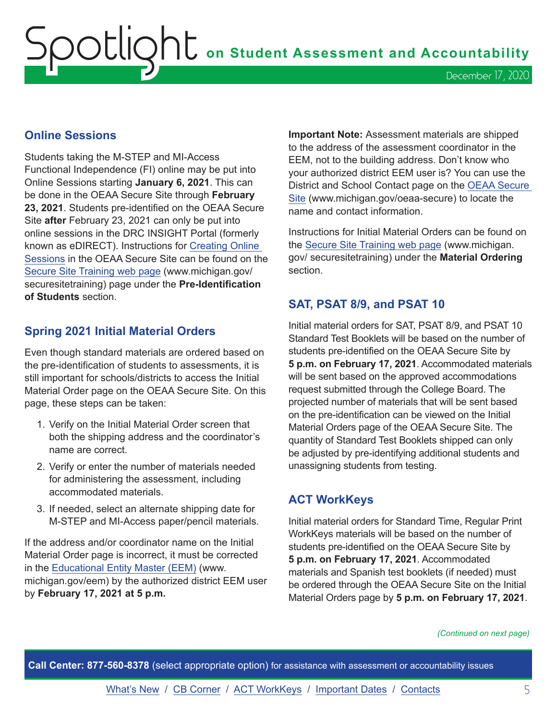# <span id="page-4-0"></span>Spotlight **on Student Assessment and Accountability** December 17, 2020

#### **Online Sessions**

Students taking the M-STEP and MI-Access Functional Independence (FI) online may be put into Online Sessions starting **January 6, 2021**. This can be done in the OEAA Secure Site through **February 23, 2021**. Students pre-identified on the OEAA Secure Site **after** February 23, 2021 can only be put into online sessions in the DRC INSIGHT Portal (formerly known as eDIRECT). Instructions for [Creating Online](https://www.michigan.gov/documents/mde/Session_Page_Quick_Reference_2_509973_7.pdf)  [Sessions](https://www.michigan.gov/documents/mde/Session_Page_Quick_Reference_2_509973_7.pdf) in the OEAA Secure Site can be found on the [Secure Site Training web page](http://www.michigan.gov/securesitetraining) (www.michigan.gov/ securesitetraining) page under the **Pre-Identification of Students** section.

#### **Spring 2021 Initial Material Orders**

Even though standard materials are ordered based on the pre-identification of students to assessments, it is still important for schools/districts to access the Initial Material Order page on the OEAA Secure Site. On this page, these steps can be taken:

- 1. Verify on the Initial Material Order screen that both the shipping address and the coordinator's name are correct.
- 2. Verify or enter the number of materials needed for administering the assessment, including accommodated materials.
- 3. If needed, select an alternate shipping date for M-STEP and MI-Access paper/pencil materials.

If the address and/or coordinator name on the Initial Material Order page is incorrect, it must be corrected in the [Educational Entity Master \(EEM\)](www.michigan.gov/EEM) (www. michigan.gov/eem) by the authorized district EEM user by **February 17, 2021 at 5 p.m.**

**Important Note:** Assessment materials are shipped to the address of the assessment coordinator in the EEM, not to the building address. Don't know who your authorized district EEM user is? You can use the District and School Contact page on the [OEAA Secure](http://www.michigan.gov/oeaa-secure)  [Site](http://www.michigan.gov/oeaa-secure) (www.michigan.gov/oeaa-secure) to locate the name and contact information.

Instructions for Initial Material Orders can be found on the [Secure Site Training web page](http://www.michigan.gov/securesitetraining) (www.michigan. gov/ securesitetraining) under the **Material Ordering** section.

#### **SAT, PSAT 8/9, and PSAT 10**

Initial material orders for SAT, PSAT 8/9, and PSAT 10 Standard Test Booklets will be based on the number of students pre-identified on the OEAA Secure Site by **5 p.m. on February 17, 2021**. Accommodated materials will be sent based on the approved accommodations request submitted through the College Board. The projected number of materials that will be sent based on the pre-identification can be viewed on the Initial Material Orders page of the OEAA Secure Site. The quantity of Standard Test Booklets shipped can only be adjusted by pre-identifying additional students and unassigning students from testing.

#### **ACT WorkKeys**

Initial material orders for Standard Time, Regular Print WorkKeys materials will be based on the number of students pre-identified on the OEAA Secure Site by **5 p.m. on February 17, 2021**. Accommodated materials and Spanish test booklets (if needed) must be ordered through the OEAA Secure Site on the Initial Material Orders page by **5 p.m. on February 17, 2021**.

*(Continued on next page)*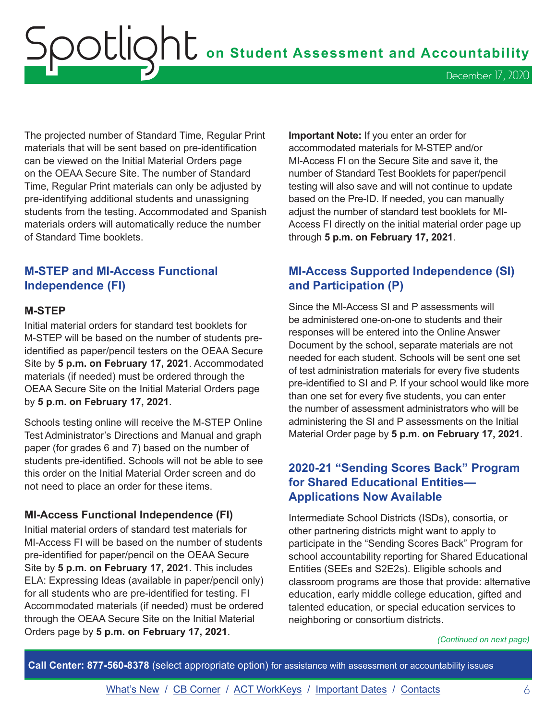<span id="page-5-0"></span>Spotlight **on Student Assessment and Accountability** December 17, 2020

The projected number of Standard Time, Regular Print materials that will be sent based on pre-identification can be viewed on the Initial Material Orders page on the OEAA Secure Site. The number of Standard Time, Regular Print materials can only be adjusted by pre-identifying additional students and unassigning students from the testing. Accommodated and Spanish materials orders will automatically reduce the number of Standard Time booklets.

#### **M-STEP and MI-Access Functional Independence (FI)**

#### **M-STEP**

Initial material orders for standard test booklets for M-STEP will be based on the number of students preidentified as paper/pencil testers on the OEAA Secure Site by **5 p.m. on February 17, 2021**. Accommodated materials (if needed) must be ordered through the OEAA Secure Site on the Initial Material Orders page by **5 p.m. on February 17, 2021**.

Schools testing online will receive the M-STEP Online Test Administrator's Directions and Manual and graph paper (for grades 6 and 7) based on the number of students pre-identified. Schools will not be able to see this order on the Initial Material Order screen and do not need to place an order for these items.

#### **MI-Access Functional Independence (FI)**

Initial material orders of standard test materials for MI-Access FI will be based on the number of students pre-identified for paper/pencil on the OEAA Secure Site by **5 p.m. on February 17, 2021**. This includes ELA: Expressing Ideas (available in paper/pencil only) for all students who are pre-identified for testing. FI Accommodated materials (if needed) must be ordered through the OEAA Secure Site on the Initial Material Orders page by **5 p.m. on February 17, 2021**.

**Important Note:** If you enter an order for accommodated materials for M-STEP and/or MI-Access FI on the Secure Site and save it, the number of Standard Test Booklets for paper/pencil testing will also save and will not continue to update based on the Pre-ID. If needed, you can manually adjust the number of standard test booklets for MI-Access FI directly on the initial material order page up through **5 p.m. on February 17, 2021**.

#### **MI-Access Supported Independence (SI) and Participation (P)**

Since the MI-Access SI and P assessments will be administered one-on-one to students and their responses will be entered into the Online Answer Document by the school, separate materials are not needed for each student. Schools will be sent one set of test administration materials for every five students pre-identified to SI and P. If your school would like more than one set for every five students, you can enter the number of assessment administrators who will be administering the SI and P assessments on the Initial Material Order page by **5 p.m. on February 17, 2021**.

#### **2020-21 "Sending Scores Back" Program for Shared Educational Entities— Applications Now Available**

Intermediate School Districts (ISDs), consortia, or other partnering districts might want to apply to participate in the "Sending Scores Back" Program for school accountability reporting for Shared Educational Entities (SEEs and S2E2s). Eligible schools and classroom programs are those that provide: alternative education, early middle college education, gifted and talented education, or special education services to neighboring or consortium districts.

*(Continued on next page)*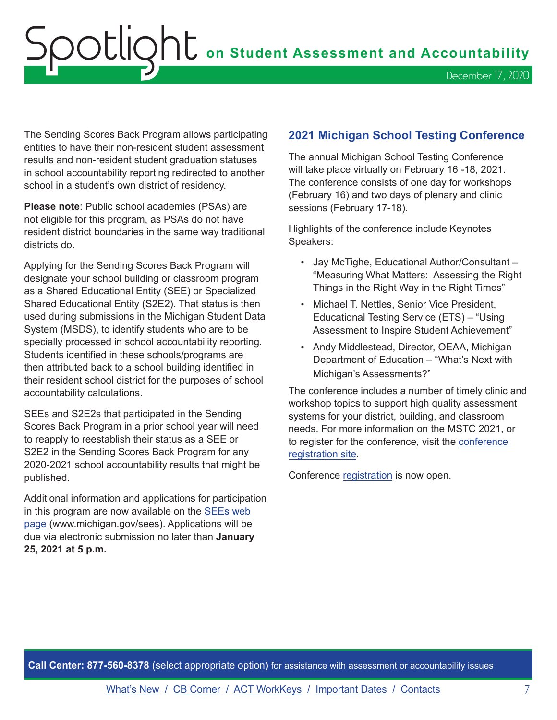<span id="page-6-0"></span>The Sending Scores Back Program allows participating entities to have their non-resident student assessment results and non-resident student graduation statuses in school accountability reporting redirected to another school in a student's own district of residency.

**Please note**: Public school academies (PSAs) are not eligible for this program, as PSAs do not have resident district boundaries in the same way traditional districts do.

Applying for the Sending Scores Back Program will designate your school building or classroom program as a Shared Educational Entity (SEE) or Specialized Shared Educational Entity (S2E2). That status is then used during submissions in the Michigan Student Data System (MSDS), to identify students who are to be specially processed in school accountability reporting. Students identified in these schools/programs are then attributed back to a school building identified in their resident school district for the purposes of school accountability calculations.

SEEs and S2E2s that participated in the Sending Scores Back Program in a prior school year will need to reapply to reestablish their status as a SEE or S2E2 in the Sending Scores Back Program for any 2020-2021 school accountability results that might be published.

Additional information and applications for participation in this program are now available on the [SEEs web](http://www.michigan.gov/sees)  [page](http://www.michigan.gov/sees) (www.michigan.gov/sees). Applications will be due via electronic submission no later than **January 25, 2021 at 5 p.m.**

#### **2021 Michigan School Testing Conference**

The annual Michigan School Testing Conference will take place virtually on February 16 -18, 2021. The conference consists of one day for workshops (February 16) and two days of plenary and clinic sessions (February 17-18).

Highlights of the conference include Keynotes Speakers:

- Jay McTighe, Educational Author/Consultant "Measuring What Matters: Assessing the Right Things in the Right Way in the Right Times"
- Michael T. Nettles, Senior Vice President, Educational Testing Service (ETS) – "Using Assessment to Inspire Student Achievement"
- Andy Middlestead, Director, OEAA, Michigan Department of Education – "What's Next with Michigan's Assessments?"

The conference includes a number of timely clinic and workshop topics to support high quality assessment systems for your district, building, and classroom needs. For more information on the MSTC 2021, or to register for the conference, visit the [conference](http://gomasa.org/wp-content/uploads/mstcPromo2021.pdf)  [registration site.](http://gomasa.org/wp-content/uploads/mstcPromo2021.pdf)

Conference [registration](http://gomasa.org/events/2021-michigan-school-testing-conference/) is now open.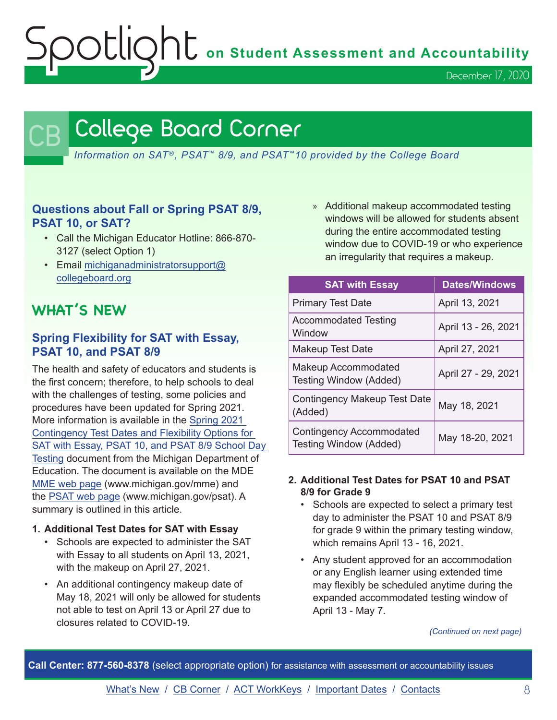December 17, 2020

# <span id="page-7-0"></span>College Board Corner

*Information on SAT*®*, PSAT*™ *8/9, and PSAT*™*10 provided by the College Board*

#### **Questions about Fall or Spring PSAT 8/9, PSAT 10, or SAT?**

- Call the Michigan Educator Hotline: 866-870- 3127 (select Option 1)
- Email [michiganadministratorsupport@](mailto:michiganadministratorsupport%40collegeboard.org?subject=) [collegeboard.org](mailto:michiganadministratorsupport%40collegeboard.org?subject=)

# **WHAT'S NEW**

#### **Spring Flexibility for SAT with Essay, PSAT 10, and PSAT 8/9**

The health and safety of educators and students is the first concern; therefore, to help schools to deal with the challenges of testing, some policies and procedures have been updated for Spring 2021. More information is available in the [Spring 2021](https://www.michigan.gov/documents/mde/Spring_2021_Contingency_Test_Dates_and_Flexibility_Options_710735_7.pdf)  [Contingency Test Dates and Flexibility Options for](https://www.michigan.gov/documents/mde/Spring_2021_Contingency_Test_Dates_and_Flexibility_Options_710735_7.pdf)  [SAT with Essay, PSAT 10, and PSAT 8/9 School Day](https://www.michigan.gov/documents/mde/Spring_2021_Contingency_Test_Dates_and_Flexibility_Options_710735_7.pdf)  [Testing](https://www.michigan.gov/documents/mde/Spring_2021_Contingency_Test_Dates_and_Flexibility_Options_710735_7.pdf) document from the Michigan Department of Education. The document is available on the MDE [MME web page](www.michigan.gov/mme) (www.michigan.gov/mme) and the [PSAT web page](http://www.michigan.gov/psat) (www.michigan.gov/psat). A summary is outlined in this article.

#### **1. Additional Test Dates for SAT with Essay**

- Schools are expected to administer the SAT with Essay to all students on April 13, 2021, with the makeup on April 27, 2021.
- An additional contingency makeup date of May 18, 2021 will only be allowed for students not able to test on April 13 or April 27 due to closures related to COVID-19.

» Additional makeup accommodated testing windows will be allowed for students absent during the entire accommodated testing window due to COVID-19 or who experience an irregularity that requires a makeup.

| <b>SAT with Essay</b>                                     | <b>Dates/Windows</b> |
|-----------------------------------------------------------|----------------------|
| <b>Primary Test Date</b>                                  | April 13, 2021       |
| <b>Accommodated Testing</b><br>Window                     | April 13 - 26, 2021  |
| <b>Makeup Test Date</b>                                   | April 27, 2021       |
| <b>Makeup Accommodated</b><br>Testing Window (Added)      | April 27 - 29, 2021  |
| <b>Contingency Makeup Test Date</b><br>(Added)            | May 18, 2021         |
| <b>Contingency Accommodated</b><br>Testing Window (Added) | May 18-20, 2021      |

#### **2. Additional Test Dates for PSAT 10 and PSAT 8/9 for Grade 9**

- Schools are expected to select a primary test day to administer the PSAT 10 and PSAT 8/9 for grade 9 within the primary testing window, which remains April 13 - 16, 2021.
- Any student approved for an accommodation or any English learner using extended time may flexibly be scheduled anytime during the expanded accommodated testing window of April 13 - May 7.

*(Continued on next page)*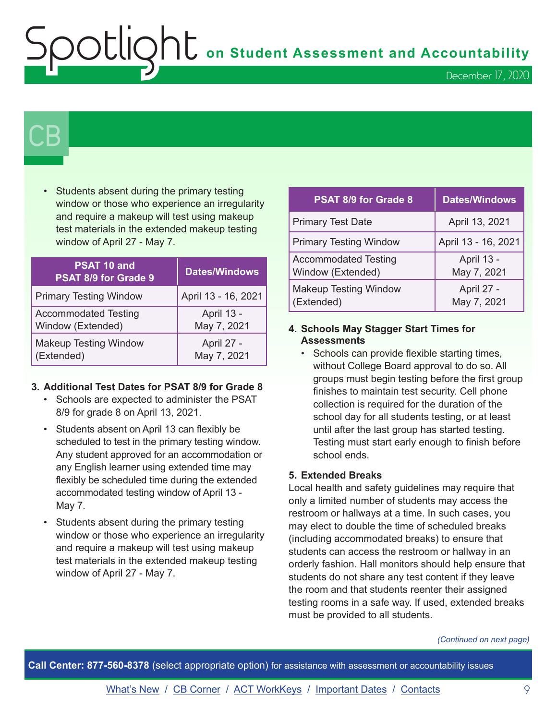OOCLIQhC on Student Assessment and Accountability

December 17, 2020

# $\mathsf{CB}\mid$

• Students absent during the primary testing window or those who experience an irregularity and require a makeup will test using makeup test materials in the extended makeup testing window of April 27 - May 7.

| PSAT 10 and<br>PSAT 8/9 for Grade 9 | <b>Dates/Windows</b> |
|-------------------------------------|----------------------|
| <b>Primary Testing Window</b>       | April 13 - 16, 2021  |
| <b>Accommodated Testing</b>         | April 13 -           |
| Window (Extended)                   | May 7, 2021          |
| <b>Makeup Testing Window</b>        | April 27 -           |
| (Extended)                          | May 7, 2021          |

#### **3. Additional Test Dates for PSAT 8/9 for Grade 8**

- Schools are expected to administer the PSAT 8/9 for grade 8 on April 13, 2021.
- Students absent on April 13 can flexibly be scheduled to test in the primary testing window. Any student approved for an accommodation or any English learner using extended time may flexibly be scheduled time during the extended accommodated testing window of April 13 - May 7.
- Students absent during the primary testing window or those who experience an irregularity and require a makeup will test using makeup test materials in the extended makeup testing window of April 27 - May 7.

| <b>PSAT 8/9 for Grade 8</b>                      | <b>Dates/Windows</b>      |
|--------------------------------------------------|---------------------------|
| <b>Primary Test Date</b>                         | April 13, 2021            |
| <b>Primary Testing Window</b>                    | April 13 - 16, 2021       |
| <b>Accommodated Testing</b><br>Window (Extended) | April 13 -<br>May 7, 2021 |
| <b>Makeup Testing Window</b><br>(Extended)       | April 27 -<br>May 7, 2021 |

#### **4. Schools May Stagger Start Times for Assessments**

• Schools can provide flexible starting times, without College Board approval to do so. All groups must begin testing before the first group finishes to maintain test security. Cell phone collection is required for the duration of the school day for all students testing, or at least until after the last group has started testing. Testing must start early enough to finish before school ends.

#### **5. Extended Breaks**

Local health and safety guidelines may require that only a limited number of students may access the restroom or hallways at a time. In such cases, you may elect to double the time of scheduled breaks (including accommodated breaks) to ensure that students can access the restroom or hallway in an orderly fashion. Hall monitors should help ensure that students do not share any test content if they leave the room and that students reenter their assigned testing rooms in a safe way. If used, extended breaks must be provided to all students.

*(Continued on next page)*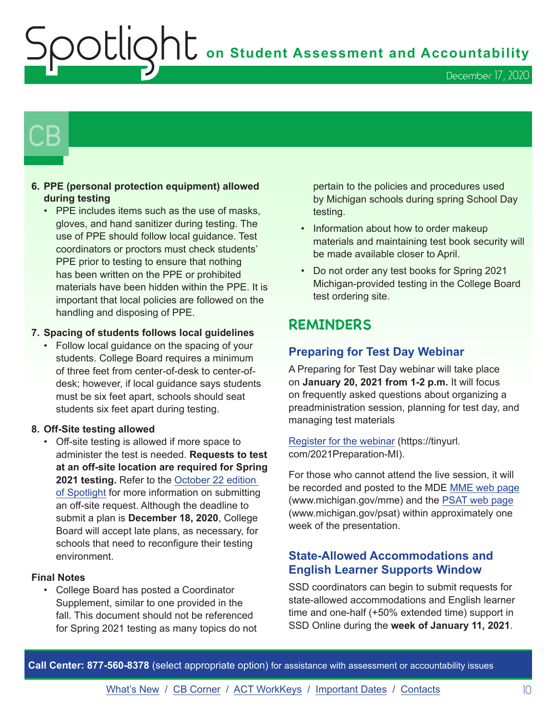December 17, 2020

# $\mathsf{CB}\mid$

#### **6. PPE (personal protection equipment) allowed during testing**

• PPE includes items such as the use of masks, gloves, and hand sanitizer during testing. The use of PPE should follow local guidance. Test coordinators or proctors must check students' PPE prior to testing to ensure that nothing has been written on the PPE or prohibited materials have been hidden within the PPE. It is important that local policies are followed on the handling and disposing of PPE.

#### **7. Spacing of students follows local guidelines**

• Follow local guidance on the spacing of your students. College Board requires a minimum of three feet from center-of-desk to center-ofdesk; however, if local guidance says students must be six feet apart, schools should seat students six feet apart during testing.

#### **8. Off-Site testing allowed**

• Off-site testing is allowed if more space to administer the test is needed. **Requests to test at an off-site location are required for Spring 2021 testing.** Refer to the [October 22 edition](https://www.michigan.gov/documents/mde/Spotlight_10-22-20_705870_7.pdf)  [of Spotlight](https://www.michigan.gov/documents/mde/Spotlight_10-22-20_705870_7.pdf) for more information on submitting an off-site request. Although the deadline to submit a plan is **December 18, 2020**, College Board will accept late plans, as necessary, for schools that need to reconfigure their testing environment.

#### **Final Notes**

• College Board has posted a Coordinator Supplement, similar to one provided in the fall. This document should not be referenced for Spring 2021 testing as many topics do not

pertain to the policies and procedures used by Michigan schools during spring School Day testing.

- Information about how to order makeup materials and maintaining test book security will be made available closer to April.
- Do not order any test books for Spring 2021 Michigan-provided testing in the College Board test ordering site.

## **REMINDERS**

#### **Preparing for Test Day Webinar**

A Preparing for Test Day webinar will take place on **January 20, 2021 from 1-2 p.m.** It will focus on frequently asked questions about organizing a preadministration session, planning for test day, and managing test materials

[Register for the webinar](https://tinyurl.com/2021Preparation-MI) (https://tinyurl. com/2021Preparation-MI).

For those who cannot attend the live session, it will be recorded and posted to the MDE [MME web page](www.michigan.gov/mme) (www.michigan.gov/mme) and the [PSAT web page](http://www.michigan.gov/psat) (www.michigan.gov/psat) within approximately one week of the presentation.

#### **State-Allowed Accommodations and English Learner Supports Window**

SSD coordinators can begin to submit requests for state-allowed accommodations and English learner time and one-half (+50% extended time) support in SSD Online during the **week of January 11, 2021**.

**Call Center: 877-560-8378** (select appropriate option) for assistance with assessment or accountability issues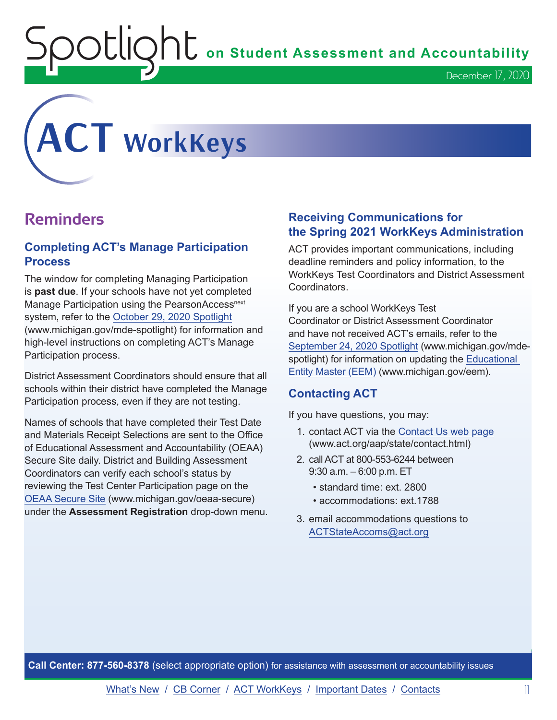OUIQhL on Student Assessment and Accountability

<span id="page-10-0"></span>

## **Reminders**

#### **Completing ACT's Manage Participation Process**

The window for completing Managing Participation is **past due**. If your schools have not yet completed Manage Participation using the PearsonAccess<sup>next</sup> system, refer to the [October 29, 2020 Spotlight](https://www.michigan.gov/documents/mde/Spotlight_10-29-20_706526_7.pdf) (www.michigan.gov/mde-spotlight) for information and high-level instructions on completing ACT's Manage Participation process.

District Assessment Coordinators should ensure that all schools within their district have completed the Manage Participation process, even if they are not testing.

Names of schools that have completed their Test Date and Materials Receipt Selections are sent to the Office of Educational Assessment and Accountability (OEAA) Secure Site daily. District and Building Assessment Coordinators can verify each school's status by reviewing the Test Center Participation page on the [OEAA Secure Site](http://www.michigan.gov/oeaa-secure) (www.michigan.gov/oeaa-secure) under the **Assessment Registration** drop-down menu.

#### **Receiving Communications for the Spring 2021 WorkKeys Administration**

ACT provides important communications, including deadline reminders and policy information, to the WorkKeys Test Coordinators and District Assessment **Coordinators** 

If you are a school WorkKeys Test Coordinator or District Assessment Coordinator and have not received ACT's emails, refer to the [September 24, 2020 Spotlight](https://www.michigan.gov/documents/mde/Spotlight_9-24-20_703294_7.pdf) (www.michigan.gov/mdespotlight) for information on updating the [Educational](www.michigan.gov/EEM)  [Entity Master \(EEM\)](www.michigan.gov/EEM) (www.michigan.gov/eem).

#### **Contacting ACT**

If you have questions, you may:

- 1. contact ACT via the [Contact Us web page](http://www.act.org/aap/state/contact.html) [\(www.act.org/aap/state/contact.html\)](https://www.act.org/aap/state/contact.html)
- 2. call ACT at 800-553-6244 between 9:30 a.m. – 6:00 p.m. ET
	- standard time: ext. 2800
	- accommodations: ext.1788
- 3. email accommodations questions to [ACTStateAccoms@act.org](mailto:ACTStateAccoms%40act.org?subject=)

**Call Center: 877-560-8378** (select appropriate option) for assistance with assessment or accountability issues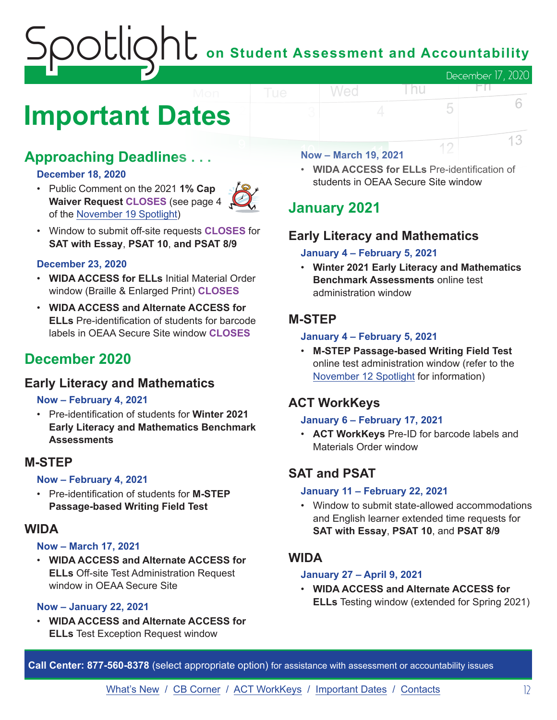# $\bigcup$  on Student Assessment and Accountability December 17, 2020 Wed FП.

# <span id="page-11-0"></span>**Important Dates**

# **Approaching Deadlines . . .**

#### **December 18, 2020**

• Public Comment on the 2021 **1% Cap Waiver Request CLOSES** (see page 4 of the [November 19 Spotlight\)](https://www.michigan.gov/documents/mde/Spotlight_11-19-20_708352_7.pdf)



• Window to submit off-site requests **CLOSES** for **SAT with Essay**, **PSAT 10**, **and PSAT 8/9**

#### **December 23, 2020**

- **WIDA ACCESS for ELLs** Initial Material Order window (Braille & Enlarged Print) **CLOSES**
- **WIDA ACCESS and Alternate ACCESS for ELLs** Pre-identification of students for barcode labels in OEAA Secure Site window **CLOSES**

## **December 2020**

#### **Early Literacy and Mathematics**

#### **Now – February 4, 2021**

• Pre-identification of students for **Winter 2021 Early Literacy and Mathematics Benchmark Assessments**

#### **M-STEP**

#### **Now – February 4, 2021**

• Pre-identification of students for **M-STEP Passage-based Writing Field Test**

#### **WIDA**

#### **Now – March 17, 2021**

• **WIDA ACCESS and Alternate ACCESS for ELLs** Off-site Test Administration Request window in OEAA Secure Site

#### **Now – January 22, 2021**

• **WIDA ACCESS and Alternate ACCESS for ELLs** Test Exception Request window

#### **Now – March 19, 2021**

• **WIDA ACCESS for ELLs** Pre-identification of students in OEAA Secure Site window

l nu

5

12

6

13

# **January 2021**

## **Early Literacy and Mathematics**

#### **January 4 – February 5, 2021**

• **Winter 2021 Early Literacy and Mathematics Benchmark Assessments** online test administration window

#### **M-STEP**

#### **January 4 – February 5, 2021**

• **M-STEP Passage-based Writing Field Test** online test administration window (refer to the [November 12 Spotlight](https://www.michigan.gov/documents/mde/Spotlight_11-12-20_707634_7.pdf) for information)

### **ACT WorkKeys**

#### **January 6 – February 17, 2021**

• **ACT WorkKeys** Pre-ID for barcode labels and Materials Order window

## **SAT and PSAT**

#### **January 11 – February 22, 2021**

• Window to submit state-allowed accommodations and English learner extended time requests for **SAT with Essay**, **PSAT 10**, and **PSAT 8/9**

#### **WIDA**

#### **January 27 – April 9, 2021**

• **WIDA ACCESS and Alternate ACCESS for ELLs** Testing window (extended for Spring 2021)

**Call Center: 877-560-8378** (select appropriate option) for assistance with assessment or accountability issues